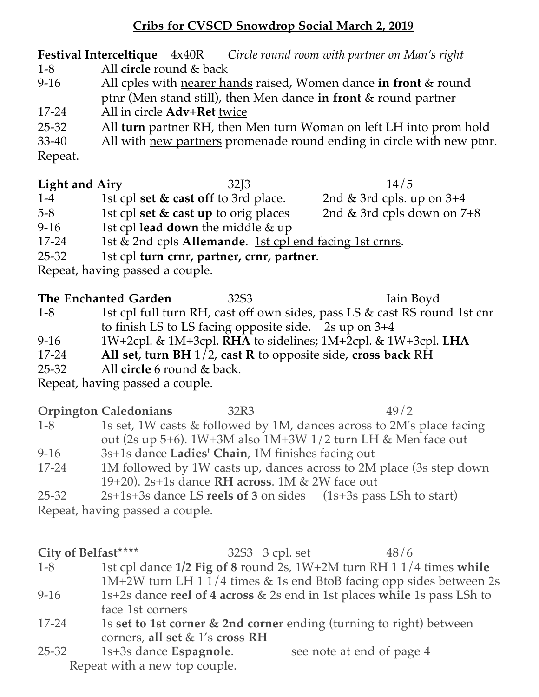# **Cribs for CVSCD Snowdrop Social March 2, 2019**

**Festival Interceltique** 4x40R *Circle round room with partner on Man's right* 1-8 All **circle** round & back

- 9-16 All cples with nearer hands raised, Women dance **in front** & round ptnr (Men stand still), then Men dance **in front** & round partner 17-24 All in circle **Adv+Ret** twice
- 25-32 All **turn** partner RH, then Men turn Woman on left LH into prom hold

33-40 All with new partners promenade round ending in circle with new ptnr. Repeat.

**Light and Airy** 32J3 14/5

1-4 1st cpl set & cast off to 3rd place. 2nd & 3rd cpls. up on 3+4 5-8 1st cpl **set & cast up** to orig places 2nd & 3rd cpls down on 7+8 9-16 1st cpl **lead down** the middle & up 17-24 1st & 2nd cpls **Allemande**. 1st cpl end facing 1st crnrs. 25-32 1st cpl **turn crnr, partner, crnr, partner**.

Repeat, having passed a couple.

**The Enchanted Garden** 32S3 **Iain Boyd** 1-8 1st cpl full turn RH, cast off own sides, pass LS & cast RS round 1st cnr to finish LS to LS facing opposite side. 2s up on 3+4

- 9-16 1W+2cpl. & 1M+3cpl. **RHA** to sidelines; 1M+2cpl. & 1W+3cpl. **LHA**
- 17-24 **All set**, **turn BH** 1/2, **cast R** to opposite side, **cross back** RH
- 25-32 All **circle** 6 round & back.

Repeat, having passed a couple.

## **Orpington Caledonians** 32R3 49/2 1-8 1s set, 1W casts & followed by 1M, dances across to 2M's place facing out (2s up 5+6). 1W+3M also 1M+3W 1/2 turn LH & Men face out

- 9-16 3s+1s dance **Ladies' Chain**, 1M finishes facing out 17-24 1M followed by 1W casts up, dances across to 2M place (3s step down
	- 19+20). 2s+1s dance **RH across**. 1M & 2W face out
- 25-32 2s+1s+3s dance LS **reels of 3** on sides (1s+3s pass LSh to start) Repeat, having passed a couple.

**City of Belfast**\*\*\*\* 32S3 3 cpl. set 48/6 1-8 1st cpl dance **1/2 Fig of 8** round 2s, 1W+2M turn RH 1 1/4 times **while** 1M+2W turn LH 1 1/4 times & 1s end BtoB facing opp sides between 2s 9-16 1s+2s dance **reel of 4 across** & 2s end in 1st places **while** 1s pass LSh to face 1st corners

17-24 1s **set to 1st corner & 2nd corner** ending (turning to right) between corners, **all set** & 1's **cross RH**

25-32 1s+3s dance **Espagnole**. see note at end of page 4 Repeat with a new top couple.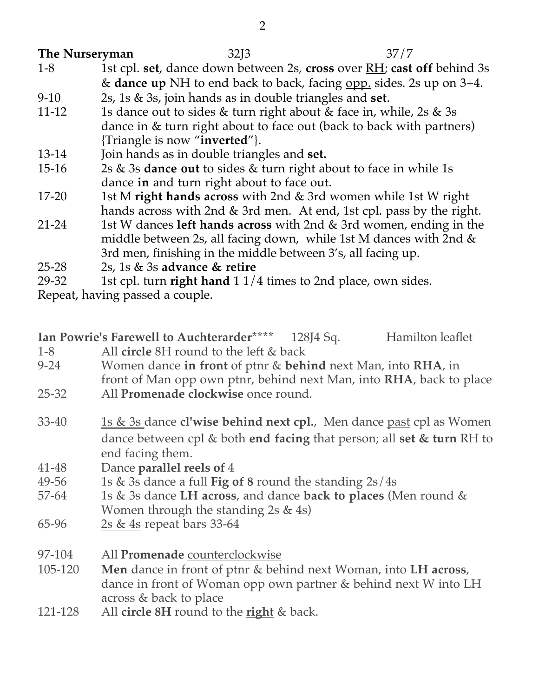## **The Nurseryman** 32J3 37/7

- 1-8 1st cpl. **set**, dance down between 2s, **cross** over RH; **cast off** behind 3s & **dance up** NH to end back to back, facing opp. sides. 2s up on 3+4.
- 9-10 2s, 1s & 3s, join hands as in double triangles and **set**.
- 11-12 1s dance out to sides  $&$  turn right about  $&$  face in, while, 2s  $&$  3s dance in & turn right about to face out (back to back with partners) {Triangle is now "**inverted**"}.
- 13-14 Join hands as in double triangles and **set.**
- 15-16 2s & 3s **dance out** to sides & turn right about to face in while 1s dance **in** and turn right about to face out.
- 17-20 1st M **right hands across** with 2nd & 3rd women while 1st W right hands across with 2nd & 3rd men. At end, 1st cpl. pass by the right.
- 21-24 1st W dances **left hands across** with 2nd & 3rd women, ending in the middle between 2s, all facing down, while 1st M dances with 2nd & 3rd men, finishing in the middle between 3's, all facing up.
- 25-28 2s, 1s & 3s **advance & retire**
- 29-32 1st cpl. turn **right hand** 1 1/4 times to 2nd place, own sides.

Repeat, having passed a couple.

|        | Ian Powrie's Farewell to Auchterarder**** | 128J4 Sq. | Hamilton leaflet |
|--------|-------------------------------------------|-----------|------------------|
| $\sim$ |                                           |           |                  |

- 1-8 All **circle** 8H round to the left & back
- 9-24 Women dance **in front** of ptnr & **behind** next Man, into **RHA**, in front of Man opp own ptnr, behind next Man, into **RHA**, back to place
- 25-32 All **Promenade clockwise** once round.
- 33-40 1s & 3s dance **cl'wise behind next cpl.**, Men dance past cpl as Women dance between cpl & both **end facing** that person; all **set & turn** RH to end facing them.
- 41-48 Dance **parallel reels of** 4
- 49-56 1s & 3s dance a full **Fig of 8** round the standing 2s/4s
- 57-64 1s & 3s dance **LH across**, and dance **back to places** (Men round & Women through the standing 2s & 4s)
- 65-96 2s  $&$  4s repeat bars 33-64
- 97-104 All **Promenade** counterclockwise
- 105-120 **Men** dance in front of ptnr & behind next Woman, into **LH across**, dance in front of Woman opp own partner & behind next W into LH across & back to place
- 121-128 All **circle 8H** round to the **right** & back.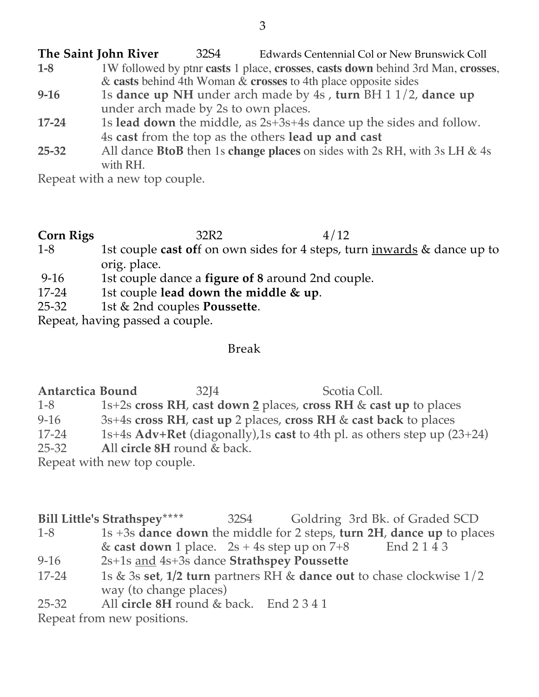**The Saint John River** 32S4 Edwards Centennial Col or New Brunswick Coll **1-8** 1W followed by ptnr **casts** 1 place, **crosses**, **casts down** behind 3rd Man, **crosses**, & **casts** behind 4th Woman & **crosses** to 4th place opposite sides **9-16** 1s **dance up NH** under arch made by 4s , **turn** BH 1 1/2, **dance up** under arch made by 2s to own places. **17-24** 1s **lead down** the middle, as 2s+3s+4s dance up the sides and follow. 4s **cast** from the top as the others **lead up and cast 25-32** All dance **BtoB** then 1s **change places** on sides with 2s RH, with 3s LH & 4s with RH.

Repeat with a new top couple.

### **Corn Rigs** 32R2 4/12 1-8 1st couple **cast of**f on own sides for 4 steps, turn inwards & dance up to orig. place.

- 9-16 1st couple dance a **figure of 8** around 2nd couple.
- 17-24 1st couple **lead down the middle & up**.
- 25-32 1st & 2nd couples **Poussette**.

Repeat, having passed a couple.

Break

**Antarctica Bound** 32J4 Scotia Coll. 1-8 1s+2s **cross RH**, **cast down 2** places, **cross RH** & **cast up** to places 9-16 3s+4s **cross RH**, **cast up** 2 places, **cross RH** & **cast back** to places 17-24 1s+4s **Adv+Ret** (diagonally),1s **cast** to 4th pl. as others step up (23+24) 25-32 **A**ll **circle 8H** round & back. Repeat with new top couple.

**Bill Little's Strathspey\*\*\*\*** 32S4 Goldring 3rd Bk. of Graded SCD 1-8 1s +3s **dance down** the middle for 2 steps, **turn 2H**, **dance up** to places & **cast down** 1 place. 2s + 4s step up on 7+8 End 2 1 4 3 9-16 2s+1s and 4s+3s dance **Strathspey Poussette** 17-24 1s & 3s **set**, **1/2 turn** partners RH & **dance out** to chase clockwise 1/2 way (to change places)

25-32 All **circle 8H** round & back. End 2 3 4 1

Repeat from new positions.